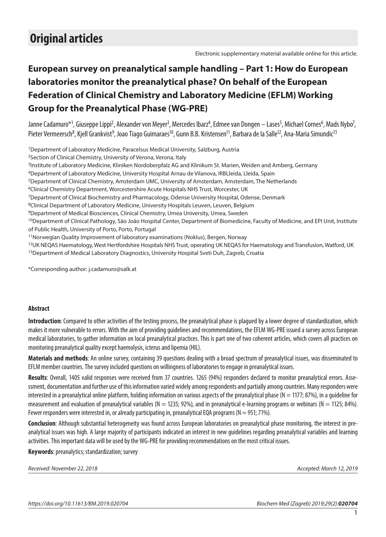Electronic supplementary material available online for this article.

# **European survey on preanalytical sample handling – Part 1: How do European laboratories monitor the preanalytical phase? On behalf of the European Federation of Clinical Chemistry and Laboratory Medicine (EFLM) Working Group for the Preanalytical Phase (WG-PRE)**

Janne Cadamuro\*<sup>1</sup>, Giuseppe Lippi<sup>2</sup>, Alexander von Meyer<sup>3</sup>, Mercedes Ibarz<sup>4</sup>, Edmee van Dongen — Lases<sup>5</sup>, Michael Cornes<sup>6</sup>, Mads Nybo<sup>7</sup>, Pieter Vermeersch<sup>8</sup>, Kjell Grankvist<sup>9</sup>, Joao Tiago Guimaraes<sup>10</sup>, Gunn B.B. Kristensen<sup>11</sup>, Barbara de la Salle<sup>12</sup>, Ana-Maria Simundic<sup>13</sup>

<sup>1</sup>Department of Laboratory Medicine, Paracelsus Medical University, Salzburg, Austria 2Section of Clinical Chemistry, University of Verona, Verona, Italy <sup>3</sup>Institute of Laboratory Medicine, Kliniken Nordoberpfalz AG and Klinikum St. Marien, Weiden and Amberg, Germany 4Department of Laboratory Medicine, University Hospital Arnau de Vilanova, IRBLleida, Lleida, Spain 5Department of Clinical Chemistry, Amsterdam UMC, University of Amsterdam, Amsterdam, The Netherlands 6Clinical Chemistry Department, Worcestershire Acute Hospitals NHS Trust, Worcester, UK 7Department of Clinical Biochemistry and Pharmacology, Odense University Hospital, Odense, Denmark 8Clinical Department of Laboratory Medicine, University Hospitals Leuven, Leuven, Belgium 9Department of Medical Biosciences, Clinical Chemistry, Umea University, Umea, Sweden <sup>10</sup>Department of Clinical Pathology, São João Hospital Center, Department of Biomedicine, Faculty of Medicine, and EPI Unit, Institute of Public Health, University of Porto, Porto, Portugal 11Norwegian Quality Improvement of laboratory examinations (Noklus), Bergen, Norway <sup>12</sup>UK NEQAS Haematology, West Hertfordshire Hospitals NHS Trust, operating UK NEQAS for Haematology and Transfusion, Watford, UK <sup>13</sup>Department of Medical Laboratory Diagnostics, University Hospital Sveti Duh, Zagreb, Croatia

\*Corresponding author: j.cadamuro@salk.at

#### **Abstract**

**Introduction**: Compared to other activities of the testing process, the preanalytical phase is plagued by a lower degree of standardization, which makes it more vulnerable to errors. With the aim of providing guidelines and recommendations, the EFLM WG-PRE issued a survey across European medical laboratories, to gather information on local preanalytical practices. This is part one of two coherent articles, which covers all practices on monitoring preanalytical quality except haemolysis, icterus and lipemia (HIL).

**Materials and methods**: An online survey, containing 39 questions dealing with a broad spectrum of preanalytical issues, was disseminated to EFLM member countries. The survey included questions on willingness of laboratories to engage in preanalytical issues.

**Results**: Overall, 1405 valid responses were received from 37 countries. 1265 (94%) responders declared to monitor preanalytical errors. Assessment, documentation and further use of this information varied widely among respondents and partially among countries. Many responders were interested in a preanalytical online platform, holding information on various aspects of the preanalytical phase ( $N = 1177$ ; 87%), in a quideline for measurement and evaluation of preanalytical variables ( $N = 1235$ ; 92%), and in preanalytical e-learning programs or webinars ( $N = 1125$ ; 84%). Fewer responders were interested in, or already participating in, preanalytical EQA programs ( $N = 951$ ; 71%).

**Conclusion**: Although substantial heterogeneity was found across European laboratories on preanalytical phase monitoring, the interest in preanalytical issues was high. A large majority of participants indicated an interest in new guidelines regarding preanalytical variables and learning activities. This important data will be used by the WG-PRE for providing recommendations on the most critical issues.

**Keywords**: preanalytics; standardization; survey

*Received: November 22, 2018 Accepted: March 12, 2019*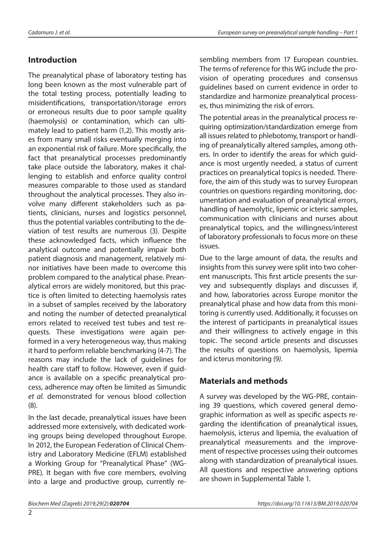# **Introduction**

The preanalytical phase of laboratory testing has long been known as the most vulnerable part of the total testing process, potentially leading to misidentifications, transportation/storage errors or erroneous results due to poor sample quality (haemolysis) or contamination, which can ultimately lead to patient harm (1,2). This mostly arises from many small risks eventually merging into an exponential risk of failure. More specifically, the fact that preanalytical processes predominantly take place outside the laboratory, makes it challenging to establish and enforce quality control measures comparable to those used as standard throughout the analytical processes. They also involve many different stakeholders such as patients, clinicians, nurses and logistics personnel, thus the potential variables contributing to the deviation of test results are numerous (3). Despite these acknowledged facts, which influence the analytical outcome and potentially impair both patient diagnosis and management, relatively minor initiatives have been made to overcome this problem compared to the analytical phase. Preanalytical errors are widely monitored, but this practice is often limited to detecting haemolysis rates in a subset of samples received by the laboratory and noting the number of detected preanalytical errors related to received test tubes and test requests. These investigations were again performed in a very heterogeneous way, thus making it hard to perform reliable benchmarking (4-7). The reasons may include the lack of guidelines for health care staff to follow. However, even if guidance is available on a specific preanalytical process, adherence may often be limited as Simundic *et al.* demonstrated for venous blood collection (8).

In the last decade, preanalytical issues have been addressed more extensively, with dedicated working groups being developed throughout Europe. In 2012, the European Federation of Clinical Chemistry and Laboratory Medicine (EFLM) established a Working Group for "Preanalytical Phase" (WG-PRE). It began with five core members, evolving into a large and productive group, currently resembling members from 17 European countries. The terms of reference for this WG include the provision of operating procedures and consensus guidelines based on current evidence in order to standardize and harmonize preanalytical processes, thus minimizing the risk of errors.

The potential areas in the preanalytical process requiring optimization/standardization emerge from all issues related to phlebotomy, transport or handling of preanalytically altered samples, among others. In order to identify the areas for which guidance is most urgently needed, a status of current practices on preanalytical topics is needed. Therefore, the aim of this study was to survey European countries on questions regarding monitoring, documentation and evaluation of preanalytical errors, handling of haemolytic, lipemic or icteric samples, communication with clinicians and nurses about preanalytical topics, and the willingness/interest of laboratory professionals to focus more on these issues.

Due to the large amount of data, the results and insights from this survey were split into two coherent manuscripts. This first article presents the survey and subsequently displays and discusses if, and how, laboratories across Europe monitor the preanalytical phase and how data from this monitoring is currently used. Additionally, it focusses on the interest of participants in preanalytical issues and their willingness to actively engage in this topic. The second article presents and discusses the results of questions on haemolysis, lipemia and icterus monitoring (9*)*.

# **Materials and methods**

A survey was developed by the WG-PRE, containing 39 questions, which covered general demographic information as well as specific aspects regarding the identification of preanalytical issues, haemolysis, icterus and lipemia, the evaluation of preanalytical measurements and the improvement of respective processes using their outcomes along with standardization of preanalytical issues. All questions and respective answering options are shown in [Supple](https://www.biochemia-medica.com/assets/images/upload/Clanci/29/29_2/Supplementary_Cadamuro_1.pdf)mental Table 1.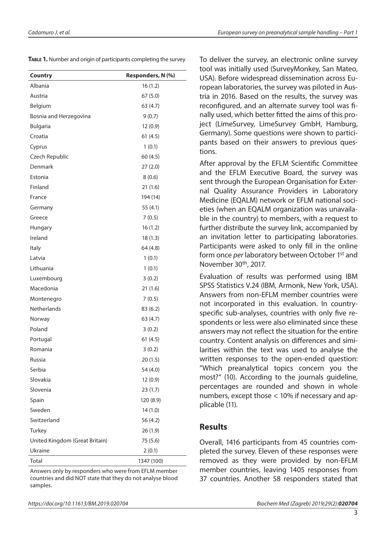|  |  | <b>TABLE 1.</b> Number and origin of participants completing the survey |
|--|--|-------------------------------------------------------------------------|
|  |  |                                                                         |

| <b>Country</b>                 | Responders, N (%) |
|--------------------------------|-------------------|
| Albania                        | 16(1.2)           |
| Austria                        | 67(5.0)           |
| Belgium                        | 63 (4.7)          |
| Bosnia and Herzegovina         | 9(0.7)            |
| <b>Bulgaria</b>                | 12(0.9)           |
| Croatia                        | 61(4.5)           |
| Cyprus                         | 1(0.1)            |
| Czech Republic                 | 60(4.5)           |
| Denmark                        | 27(2.0)           |
| Estonia                        | 8(0.6)            |
| Finland                        | 21(1.6)           |
| France                         | 194 (14)          |
| Germany                        | 55(4.1)           |
| Greece                         | 7(0.5)            |
| Hungary                        | 16(1.2)           |
| Ireland                        | 18(1.3)           |
| <b>Italy</b>                   | 64 (4.8)          |
| Latvia                         | 1(0.1)            |
| Lithuania                      | 1(0.1)            |
| Luxembourg                     | 3(0.2)            |
| Macedonia                      | 21(1.6)           |
| Montenegro                     | 7(0.5)            |
| Netherlands                    | 83 (6.2)          |
| Norway                         | 63 (4.7)          |
| Poland                         | 3(0.2)            |
| Portugal                       | 61(4.5)           |
| Romania                        | 3(0.2)            |
| Russia                         | 20(1.5)           |
| Serbia                         | 54 (4.0)          |
| Slovakia                       | 12 (0.9)          |
| Slovenia                       | 23(1.7)           |
| Spain                          | 120 (8.9)         |
| Sweden                         | 14(1.0)           |
| Switzerland                    | 56 (4.2)          |
| Turkey                         | 26 (1.9)          |
| United Kingdom (Great Britain) | 75 (5.6)          |
| Ukraine                        | 2(0.1)            |
| Total                          | 1347 (100)        |

Answers only by responders who were from EFLM member countries and did NOT state that they do not analyse blood samples.

To deliver the survey, an electronic online survey tool was initially used (SurveyMonkey, San Mateo, USA). Before widespread dissemination across European laboratories, the survey was piloted in Austria in 2016. Based on the results, the survey was reconfigured, and an alternate survey tool was finally used, which better fitted the aims of this project (LimeSurvey, LimeSurvey GmbH, Hamburg, Germany). Some questions were shown to participants based on their answers to previous questions.

After approval by the EFLM Scientific Committee and the EFLM Executive Board, the survey was sent through the European Organisation for External Quality Assurance Providers in Laboratory Medicine (EQALM) network or EFLM national societies (when an EQALM organization was unavailable in the country) to members, with a request to further distribute the survey link, accompanied by an invitation letter to participating laboratories. Participants were asked to only fill in the online form once *per* laboratory between October 1st and November 30th, 2017.

Evaluation of results was performed using IBM SPSS Statistics V.24 (IBM, Armonk, New York, USA). Answers from non-EFLM member countries were not incorporated in this evaluation. In countryspecific sub-analyses, countries with only five respondents or less were also eliminated since these answers may not reflect the situation for the entire country. Content analysis on differences and similarities within the text was used to analyse the written responses to the open-ended question: "Which preanalytical topics concern you the most?" (10). According to the journals guideline, percentages are rounded and shown in whole numbers, except those < 10% if necessary and applicable (11).

## **Results**

Overall, 1416 participants from 45 countries completed the survey. Eleven of these responses were removed as they were provided by non-EFLM member countries, leaving 1405 responses from 37 countries. Another 58 responders stated that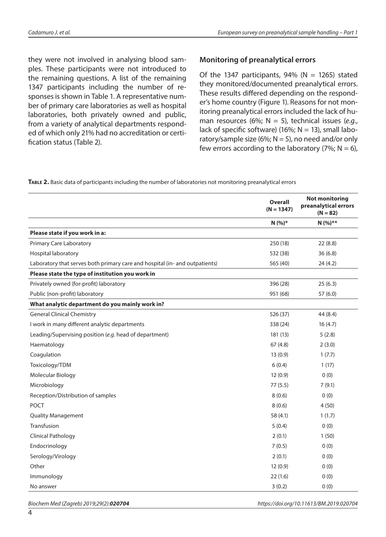they were not involved in analysing blood samples. These participants were not introduced to the remaining questions. A list of the remaining 1347 participants including the number of responses is shown in Table 1. A representative number of primary care laboratories as well as hospital laboratories, both privately owned and public, from a variety of analytical departments responded of which only 21% had no accreditation or certification status (Table 2).

### **Monitoring of preanalytical errors**

Of the 1347 participants,  $94\%$  (N = 1265) stated they monitored/documented preanalytical errors. These results differed depending on the responder's home country (Figure 1). Reasons for not monitoring preanalytical errors included the lack of human resources (6%; N = 5), technical issues (*e.g*., lack of specific software) (16%;  $N = 13$ ), small laboratory/sample size (6%;  $N = 5$ ), no need and/or only few errors according to the laboratory (7%;  $N = 6$ ),

**Table 2.** Basic data of participants including the number of laboratories not monitoring preanalytical errors

|                                                                             | <b>Overall</b><br>$(N = 1347)$ | <b>Not monitoring</b><br>preanalytical errors<br>$(N = 82)$ |
|-----------------------------------------------------------------------------|--------------------------------|-------------------------------------------------------------|
|                                                                             | $N(%)*$                        | $N(%)**$                                                    |
| Please state if you work in a:                                              |                                |                                                             |
| Primary Care Laboratory                                                     | 250 (18)                       | 22(8.8)                                                     |
| Hospital laboratory                                                         | 532 (38)                       | 36(6.8)                                                     |
| Laboratory that serves both primary care and hospital (in- and outpatients) | 565 (40)                       | 24(4.2)                                                     |
| Please state the type of institution you work in                            |                                |                                                             |
| Privately owned (for-profit) laboratory                                     | 396 (28)                       | 25(6.3)                                                     |
| Public (non-profit) laboratory                                              | 951 (68)                       | 57 (6.0)                                                    |
| What analytic department do you mainly work in?                             |                                |                                                             |
| <b>General Clinical Chemistry</b>                                           | 526 (37)                       | 44 (8.4)                                                    |
| I work in many different analytic departments                               | 338 (24)                       | 16(4.7)                                                     |
| Leading/Supervising position (e.g. head of department)                      | 181 (13)                       | 5(2.8)                                                      |
| Haematology                                                                 | 67(4.8)                        | 2(3.0)                                                      |
| Coagulation                                                                 | 13(0.9)                        | 1(7.7)                                                      |
| Toxicology/TDM                                                              | 6(0.4)                         | 1(17)                                                       |
| Molecular Biology                                                           | 12(0.9)                        | 0(0)                                                        |
| Microbiology                                                                | 77(5.5)                        | 7(9.1)                                                      |
| Reception/Distribution of samples                                           | 8(0.6)                         | 0(0)                                                        |
| <b>POCT</b>                                                                 | 8(0.6)                         | 4(50)                                                       |
| <b>Quality Management</b>                                                   | 58 (4.1)                       | 1(1.7)                                                      |
| Transfusion                                                                 | 5(0.4)                         | 0(0)                                                        |
| <b>Clinical Pathology</b>                                                   | 2(0.1)                         | 1(50)                                                       |
| Endocrinology                                                               | 7(0.5)                         | 0(0)                                                        |
| Serology/Virology                                                           | 2(0.1)                         | 0(0)                                                        |
| Other                                                                       | 12(0.9)                        | 0(0)                                                        |
| Immunology                                                                  | 22(1.6)                        | 0(0)                                                        |
| No answer                                                                   | 3(0.2)                         | 0(0)                                                        |

*Biochem Med (Zagreb) 2019;29(2):020704 https://doi.org/10.11613/BM.2019.020704*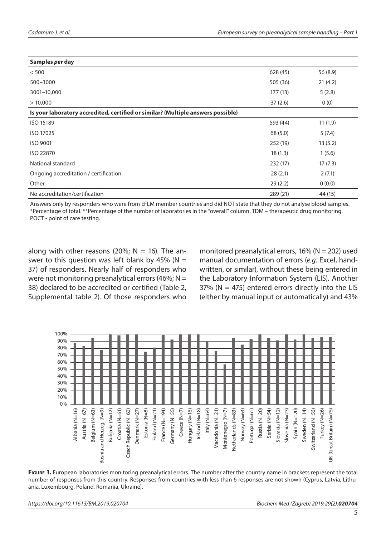| Samples per day                                                                  |          |          |
|----------------------------------------------------------------------------------|----------|----------|
| < 500                                                                            | 628 (45) | 56 (8.9) |
| 500-3000                                                                         | 505 (36) | 21(4.2)  |
| 3001-10,000                                                                      | 177(13)  | 5(2.8)   |
| >10,000                                                                          | 37(2.6)  | 0(0)     |
| Is your laboratory accredited, certified or similar? (Multiple answers possible) |          |          |
| ISO 15189                                                                        | 593 (44) | 11(1.9)  |
| ISO 17025                                                                        | 68 (5.0) | 5(7.4)   |
| <b>ISO 9001</b>                                                                  | 252 (19) | 13(5.2)  |
| ISO 22870                                                                        | 18(1.3)  | 1(5.6)   |
| National standard                                                                | 232 (17) | 17(7.3)  |
| Ongoing accreditation / certification                                            | 28(2.1)  | 2(7.1)   |
| Other                                                                            | 29(2.2)  | 0(0.0)   |
| No accreditation/certification                                                   | 289 (21) | 44 (15)  |

Answers only by responders who were from EFLM member countries and did NOT state that they do not analyse blood samples. \*Percentage of total. \*\*Percentage of the number of laboratories in the "overall" column. TDM – therapeutic drug monitoring. POCT - point of care testing.

along with other reasons (20%;  $N = 16$ ). The answer to this question was left blank by 45% ( $N =$ 37) of responders. Nearly half of responders who were not monitoring preanalytical errors (46%;  $N =$ 38) declared to be accredited or certified (Table 2, [Supple](https://www.biochemia-medica.com/assets/images/upload/Clanci/29/29_2/Supplementary_Cadamuro_1.pdf)mental table 2). Of those responders who

monitored preanalytical errors,  $16%$  (N = 202) used manual documentation of errors (*e.g.* Excel, handwritten, or similar), without these being entered in the Laboratory Information System (LIS). Another  $37\%$  (N = 475) entered errors directly into the LIS (either by manual input or automatically) and 43%



**Figure 1.** European laboratories monitoring preanalytical errors. The number after the country name in brackets represent the total number of responses from this country. Responses from countries with less than 6 responses are not shown (Cyprus, Latvia, Lithuania, Luxembourg, Poland, Romania, Ukraine).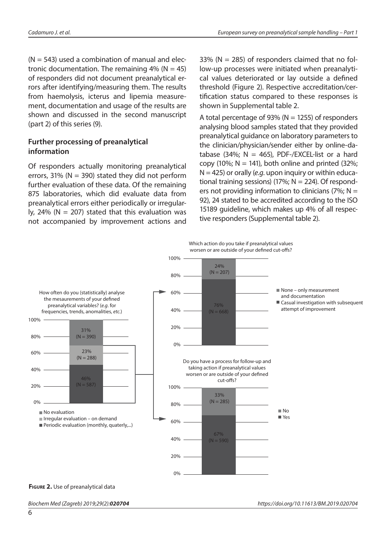$(N = 543)$  used a combination of manual and electronic documentation. The remaining  $4\%$  (N = 45) of responders did not document preanalytical errors after identifying/measuring them. The results from haemolysis, icterus and lipemia measurement, documentation and usage of the results are shown and discussed in the second manuscript (part 2) of this series (9).

## **Further processing of preanalytical information**

Of responders actually monitoring preanalytical errors, 31% ( $N = 390$ ) stated they did not perform further evaluation of these data. Of the remaining 875 laboratories, which did evaluate data from preanalytical errors either periodically or irregularly, 24% ( $N = 207$ ) stated that this evaluation was not accompanied by improvement actions and  $33\%$  (N = 285) of responders claimed that no follow-up processes were initiated when preanalytical values deteriorated or lay outside a defined threshold (Figure 2). Respective accreditation/certification status compared to these responses is shown in [Supple](https://www.biochemia-medica.com/assets/images/upload/Clanci/29/29_2/Supplementary_Cadamuro_1.pdf)mental table 2.

A total percentage of 93% ( $N = 1255$ ) of responders analysing blood samples stated that they provided preanalytical guidance on laboratory parameters to the clinician/physician/sender either by online-database (34%;  $N = 465$ ), PDF-/EXCEL-list or a hard copy (10%;  $N = 141$ ), both online and printed (32%; N = 425) or orally (*e.g*. upon inquiry or within educational training sessions) (17%;  $N = 224$ ). Of responders not providing information to clinicians (7%;  $N =$ 92), 24 stated to be accredited according to the ISO 15189 guideline, which makes up 4% of all respective responders [\(Suppl](https://www.biochemia-medica.com/assets/images/upload/Clanci/29/29_2/Supplementary_Cadamuro_1.pdf)emental table 2).



**Figure 2.** Use of preanalytical data

*Biochem Med (Zagreb) 2019;29(2):020704 https://doi.org/10.11613/BM.2019.020704*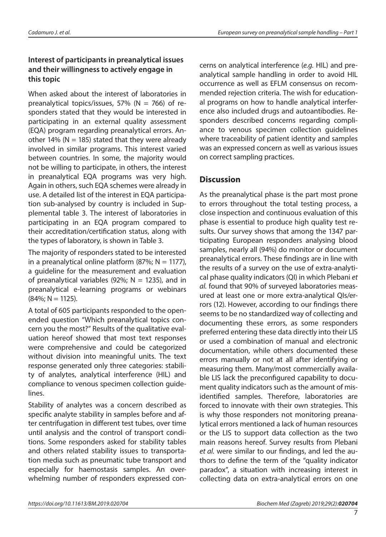## **Interest of participants in preanalytical issues and their willingness to actively engage in this topic**

When asked about the interest of laboratories in preanalytical topics/issues, 57% ( $N = 766$ ) of responders stated that they would be interested in participating in an external quality assessment (EQA) program regarding preanalytical errors. Another 14% ( $N = 185$ ) stated that they were already involved in similar programs. This interest varied between countries. In some, the majority would not be willing to participate, in others, the interest in preanalytical EQA programs was very high. Again in others, such EQA schemes were already in use. A detailed list of the interest in EQA participation sub-analysed by country is included in [Sup](https://www.biochemia-medica.com/assets/images/upload/Clanci/29/29_2/Supplementary_Cadamuro_1.pdf)[ple](https://www.biochemia-medica.com/assets/images/upload/Clanci/29/29_2/Supplementary_Cadamuro_1.pdf)mental table 3. The interest of laboratories in participating in an EQA program compared to their accreditation/certification status, along with the types of laboratory, is shown in Table 3.

The majority of responders stated to be interested in a preanalytical online platform  $(87\%)$ ; N = 1177), a guideline for the measurement and evaluation of preanalytical variables (92%;  $N = 1235$ ), and in preanalytical e-learning programs or webinars  $(84\%; N = 1125).$ 

A total of 605 participants responded to the openended question "Which preanalytical topics concern you the most?" Results of the qualitative evaluation hereof showed that most text responses were comprehensive and could be categorized without division into meaningful units. The text response generated only three categories: stability of analytes, analytical interference (HIL) and compliance to venous specimen collection guidelines.

Stability of analytes was a concern described as specific analyte stability in samples before and after centrifugation in different test tubes, over time until analysis and the control of transport conditions. Some responders asked for stability tables and others related stability issues to transportation media such as pneumatic tube transport and especially for haemostasis samples. An overwhelming number of responders expressed concerns on analytical interference (*e.g.* HIL) and preanalytical sample handling in order to avoid HIL occurrence as well as EFLM consensus on recommended rejection criteria. The wish for educational programs on how to handle analytical interference also included drugs and autoantibodies. Responders described concerns regarding compliance to venous specimen collection guidelines where traceability of patient identity and samples was an expressed concern as well as various issues on correct sampling practices.

# **Discussion**

As the preanalytical phase is the part most prone to errors throughout the total testing process, a close inspection and continuous evaluation of this phase is essential to produce high quality test results. Our survey shows that among the 1347 participating European responders analysing blood samples, nearly all (94%) do monitor or document preanalytical errors. These findings are in line with the results of a survey on the use of extra-analytical phase quality indicators (QI) in which Plebani *et al.* found that 90% of surveyed laboratories measured at least one or more extra-analytical QIs/errors (12). However, according to our findings there seems to be no standardized way of collecting and documenting these errors, as some responders preferred entering these data directly into their LIS or used a combination of manual and electronic documentation, while others documented these errors manually or not at all after identifying or measuring them. Many/most commercially available LIS lack the preconfigured capability to document quality indicators such as the amount of misidentified samples. Therefore, laboratories are forced to innovate with their own strategies. This is why those responders not monitoring preanalytical errors mentioned a lack of human resources or the LIS to support data collection as the two main reasons hereof. Survey results from Plebani *et al.* were similar to our findings, and led the authors to define the term of the "quality indicator paradox", a situation with increasing interest in collecting data on extra-analytical errors on one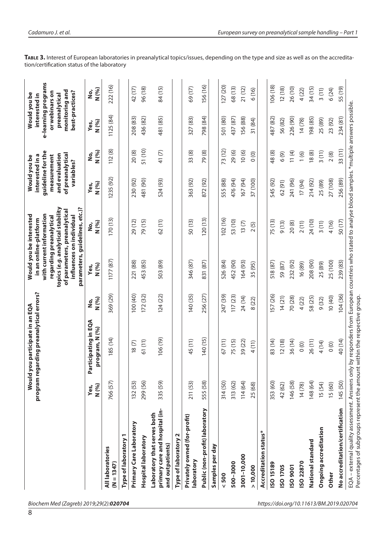|                                                                                                                          | program       | regarding preanalytical errors?<br>Would you participate in an EQA                                          |                   |               | topics (e.g. analytical stability<br>parameters, guidelines, etc.)?<br>of parameters, preanalytical<br>with current information<br>Would you be interested<br>nfluences on individual<br>regarding preanalytical<br>in an online-platform | guideline for the<br>of preanalytical<br>and evaluation<br>interested in a<br>measurement<br>Would you be<br>variables? |                        | e-learning programs<br>monitoring and<br>best-practices?<br>or webinars on<br>Would you be<br>preanalytical<br>interested in |                        |
|--------------------------------------------------------------------------------------------------------------------------|---------------|-------------------------------------------------------------------------------------------------------------|-------------------|---------------|-------------------------------------------------------------------------------------------------------------------------------------------------------------------------------------------------------------------------------------------|-------------------------------------------------------------------------------------------------------------------------|------------------------|------------------------------------------------------------------------------------------------------------------------------|------------------------|
|                                                                                                                          | N (%)<br>Yes, | Participating in EQA<br>program, N (%)                                                                      | N (%)<br><u>و</u> | N (%)<br>Yes, | N (%)<br><u>o</u>                                                                                                                                                                                                                         | N (%)<br>Yes,                                                                                                           | N (%)<br>$\frac{1}{2}$ | N (%)<br>Yes,                                                                                                                | N (%)<br>$\frac{1}{2}$ |
| <b>All laboratories</b><br>$(N = 1347)$                                                                                  | 766 (57)      | 185 (14)                                                                                                    | 369 (29)          | 1177 (87)     | 170(13)                                                                                                                                                                                                                                   | 1235 (92)                                                                                                               | 112(8)                 | 1125 (84)                                                                                                                    | 222 (16)               |
| Type of laboratory 1                                                                                                     |               |                                                                                                             |                   |               |                                                                                                                                                                                                                                           |                                                                                                                         |                        |                                                                                                                              |                        |
| <b>Primary Care Laboratory</b>                                                                                           | 132(53)       | 18(7)                                                                                                       | 100 (40)          | 221 (88)      | 29 (12)                                                                                                                                                                                                                                   | 230 (92)                                                                                                                | 20(8)                  | 208 (83)                                                                                                                     | 42 (17)                |
| Hospital laboratory                                                                                                      | 299 (56)      | 61 (11)                                                                                                     | 172 (32)          | 453 (85)      | 79 (15)                                                                                                                                                                                                                                   | 481 (90)                                                                                                                | 51 (10)                | 436 (82)                                                                                                                     | 96 (18)                |
| primary care and hospital (in-<br>Laboratory that serves both<br>and outpatients)                                        | 335 (59)      | 106(19)                                                                                                     | 124(22)           | 503 (89)      | 62 (11)                                                                                                                                                                                                                                   | 524 (93)                                                                                                                | 41(7)                  | 481 (85)                                                                                                                     | 84 (15)                |
| Type of laboratory 2                                                                                                     |               |                                                                                                             |                   |               |                                                                                                                                                                                                                                           |                                                                                                                         |                        |                                                                                                                              |                        |
| Privately owned (for-profit)<br>laboratory                                                                               | 211 (53)      | 45 (11)                                                                                                     | 140 (35)          | 346 (87)      | 50 (13)                                                                                                                                                                                                                                   | 363 (92)                                                                                                                | 33(8)                  | 327 (83)                                                                                                                     | 69 (17)                |
| Public (non-profit) laboratory                                                                                           | 555 (58)      | 140 (15)                                                                                                    | 256 (27)          | 831 (87)      | 120(13)                                                                                                                                                                                                                                   | 872 (92)                                                                                                                | 79(8)                  | 798 (84)                                                                                                                     | 156 (16)               |
| Samples per day                                                                                                          |               |                                                                                                             |                   |               |                                                                                                                                                                                                                                           |                                                                                                                         |                        |                                                                                                                              |                        |
| 500 <sub>5</sub>                                                                                                         | 314 (50)      | 67(11)                                                                                                      | 247 (39)          | 526 (84)      | 102(16)                                                                                                                                                                                                                                   | 555 (88)                                                                                                                | 73 (12)                | 501 (80)                                                                                                                     | 127 (20)               |
| 500-3000                                                                                                                 | 313 (62)      | 75(15)                                                                                                      | 117(23)           | 452 (90)      | 53 (10)                                                                                                                                                                                                                                   | 476 (94)                                                                                                                | 29(6)                  | 437 (87)                                                                                                                     | 68 (13)                |
| 3001-10,000                                                                                                              | 114 (64)      | 39 (22)                                                                                                     | 24 (14)           | 164 (93)      | 13(7)                                                                                                                                                                                                                                     | 167 (94)                                                                                                                | 10(6)                  | 156 (88)                                                                                                                     | 21(12)                 |
| > 10,000                                                                                                                 | 25 (68)       | 4(11)                                                                                                       | 8 (22)            | 35 (95)       | 2(5)                                                                                                                                                                                                                                      | 37 (100)                                                                                                                | $\circ$                | 31 (84)                                                                                                                      | 6(16)                  |
| Accreditation status*                                                                                                    |               |                                                                                                             |                   |               |                                                                                                                                                                                                                                           |                                                                                                                         |                        |                                                                                                                              |                        |
| ISO 15189                                                                                                                | 353 (60)      | 83 (14)                                                                                                     | 157 (26)          | 518 (87)      | 75 (13)                                                                                                                                                                                                                                   | 545 (92)                                                                                                                | 48(8)                  | 487 (82)                                                                                                                     | 106 (18)               |
| ISO 1705                                                                                                                 | 42 (62)       | 12(18)                                                                                                      | 14(21)            | 59 (87)       | 9(13)                                                                                                                                                                                                                                     | 62 (91)                                                                                                                 | (6)                    | 56 (82)                                                                                                                      | 12(18)                 |
| <b>1006 OSI</b>                                                                                                          | 146 (58)      | 36 (14)                                                                                                     | 70 (28)           | 232 (92)      | 20(8)                                                                                                                                                                                                                                     | 241 (96)                                                                                                                | 11(4)                  | 226 (90)                                                                                                                     | 26 (10)                |
| ISO 22870                                                                                                                | 14 (78)       | $\circ$                                                                                                     | 4(22)             | 16 (89)       | 2(11)                                                                                                                                                                                                                                     | 17(94)                                                                                                                  | 1(6)                   | 14(78)                                                                                                                       | 4 (22)                 |
| National standard                                                                                                        | 148 (64)      | 26(11)                                                                                                      | 58 (25)           | 208 (90)      | 24 (10)                                                                                                                                                                                                                                   | 214 (92)                                                                                                                | 18(8)                  | 198 (85)                                                                                                                     | 34 (15)                |
| Ongoing accreditation                                                                                                    | 15 (54)       | 4 (14)                                                                                                      | 9 (32)            | 25 (89)       | 3(11)                                                                                                                                                                                                                                     | 25 (89)                                                                                                                 | 3(11)                  | 25 (89)                                                                                                                      | 3(11)                  |
| Other                                                                                                                    | 15 (60)       | $\overline{0}$                                                                                              | 10 (40)           | 25 (100)      | 4 (16)                                                                                                                                                                                                                                    | 27 (108)                                                                                                                | $2(8)$                 | 23 (92)                                                                                                                      | 6 (24)                 |
| No accreditation/certification                                                                                           | 145 (50)      | 40 (14)                                                                                                     | 104 (36)          | 239 (83)      | 50 (17)                                                                                                                                                                                                                                   | 256 (89)                                                                                                                | 33 (11)                | 234 (81)                                                                                                                     | 55 (19)                |
| Percentages of subgroups represent the amount within the respective group.<br>EQA - external quality assessment. Answers |               | only by responders from European countries who stated to analyse blood samples. *multiple answers possible. |                   |               |                                                                                                                                                                                                                                           |                                                                                                                         |                        |                                                                                                                              |                        |

TABLE 3. Interest of European laboratories in preanalytical topics/issues, depending on the type and size as well as on the accreditation/certification status of the laboratory

8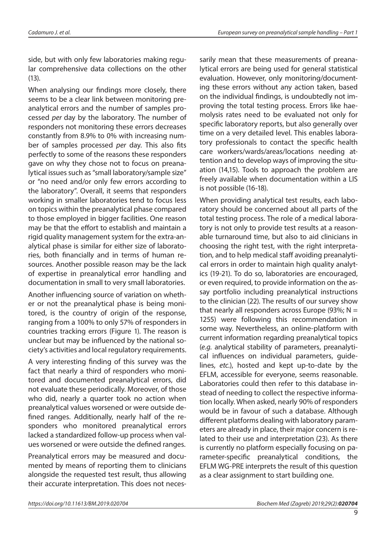side, but with only few laboratories making regular comprehensive data collections on the other (13).

When analysing our findings more closely, there seems to be a clear link between monitoring preanalytical errors and the number of samples processed *per* day by the laboratory. The number of responders not monitoring these errors decreases constantly from 8.9% to 0% with increasing number of samples processed *per* day. This also fits perfectly to some of the reasons these responders gave on why they chose not to focus on preanalytical issues such as "small laboratory/sample size" or "no need and/or only few errors according to the laboratory". Overall, it seems that responders working in smaller laboratories tend to focus less on topics within the preanalytical phase compared to those employed in bigger facilities. One reason may be that the effort to establish and maintain a rigid quality management system for the extra-analytical phase is similar for either size of laboratories, both financially and in terms of human resources. Another possible reason may be the lack of expertise in preanalytical error handling and documentation in small to very small laboratories.

Another influencing source of variation on whether or not the preanalytical phase is being monitored, is the country of origin of the response, ranging from a 100% to only 57% of responders in countries tracking errors (Figure 1). The reason is unclear but may be influenced by the national society's activities and local regulatory requirements.

A very interesting finding of this survey was the fact that nearly a third of responders who monitored and documented preanalytical errors, did not evaluate these periodically. Moreover, of those who did, nearly a quarter took no action when preanalytical values worsened or were outside defined ranges. Additionally, nearly half of the responders who monitored preanalytical errors lacked a standardized follow-up process when values worsened or were outside the defined ranges.

Preanalytical errors may be measured and documented by means of reporting them to clinicians alongside the requested test result, thus allowing their accurate interpretation. This does not necessarily mean that these measurements of preanalytical errors are being used for general statistical evaluation. However, only monitoring/documenting these errors without any action taken, based on the individual findings, is undoubtedly not improving the total testing process. Errors like haemolysis rates need to be evaluated not only for specific laboratory reports, but also generally over time on a very detailed level. This enables laboratory professionals to contact the specific health care workers/wards/areas/locations needing attention and to develop ways of improving the situation (14,15). Tools to approach the problem are freely available when documentation within a LIS is not possible (16-18).

When providing analytical test results, each laboratory should be concerned about all parts of the total testing process. The role of a medical laboratory is not only to provide test results at a reasonable turnaround time, but also to aid clinicians in choosing the right test, with the right interpretation, and to help medical staff avoiding preanalytical errors in order to maintain high quality analytics (19-21). To do so, laboratories are encouraged, or even required, to provide information on the assay portfolio including preanalytical instructions to the clinician (22). The results of our survey show that nearly all responders across Europe (93%;  $N =$ 1255) were following this recommendation in some way. Nevertheless, an online-platform with current information regarding preanalytical topics (*e.g.* analytical stability of parameters, preanalytical influences on individual parameters, guidelines, *etc.*), hosted and kept up-to-date by the EFLM, accessible for everyone, seems reasonable. Laboratories could then refer to this database instead of needing to collect the respective information locally. When asked, nearly 90% of responders would be in favour of such a database. Although different platforms dealing with laboratory parameters are already in place, their major concern is related to their use and interpretation (23). As there is currently no platform especially focusing on parameter-specific preanalytical conditions, the EFLM WG-PRE interprets the result of this question as a clear assignment to start building one.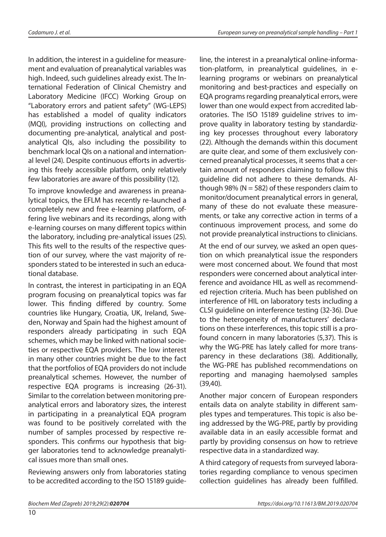In addition, the interest in a guideline for measurement and evaluation of preanalytical variables was high. Indeed, such guidelines already exist. The International Federation of Clinical Chemistry and Laboratory Medicine (IFCC) Working Group on "Laboratory errors and patient safety" (WG-LEPS) has established a model of quality indicators (MQI), providing instructions on collecting and documenting pre-analytical, analytical and postanalytical QIs, also including the possibility to benchmark local QIs on a national and international level (24). Despite continuous efforts in advertising this freely accessible platform, only relatively few laboratories are aware of this possibility (12).

To improve knowledge and awareness in preanalytical topics, the EFLM has recently re-launched a completely new and free e-learning platform, offering live webinars and its recordings, along with e-learning courses on many different topics within the laboratory, including pre-analytical issues (25). This fits well to the results of the respective question of our survey, where the vast majority of responders stated to be interested in such an educational database.

In contrast, the interest in participating in an EQA program focusing on preanalytical topics was far lower. This finding differed by country. Some countries like Hungary, Croatia, UK, Ireland, Sweden, Norway and Spain had the highest amount of responders already participating in such EQA schemes, which may be linked with national societies or respective EQA providers. The low interest in many other countries might be due to the fact that the portfolios of EQA providers do not include preanalytical schemes. However, the number of respective EQA programs is increasing (26-31). Similar to the correlation between monitoring preanalytical errors and laboratory sizes, the interest in participating in a preanalytical EQA program was found to be positively correlated with the number of samples processed by respective responders. This confirms our hypothesis that bigger laboratories tend to acknowledge preanalytical issues more than small ones.

Reviewing answers only from laboratories stating to be accredited according to the ISO 15189 guideline, the interest in a preanalytical online-information-platform, in preanalytical guidelines, in elearning programs or webinars on preanalytical monitoring and best-practices and especially on EQA programs regarding preanalytical errors, were lower than one would expect from accredited laboratories. The ISO 15189 guideline strives to improve quality in laboratory testing by standardizing key processes throughout every laboratory (22). Although the demands within this document are quite clear, and some of them exclusively concerned preanalytical processes, it seems that a certain amount of responders claiming to follow this guideline did not adhere to these demands. Although 98% ( $N = 582$ ) of these responders claim to monitor/document preanalytical errors in general, many of these do not evaluate these measurements, or take any corrective action in terms of a continuous improvement process, and some do not provide preanalytical instructions to clinicians.

At the end of our survey, we asked an open question on which preanalytical issue the responders were most concerned about. We found that most responders were concerned about analytical interference and avoidance HIL as well as recommended rejection criteria. Much has been published on interference of HIL on laboratory tests including a CLSI guideline on interference testing (32-36). Due to the heterogeneity of manufacturers' declarations on these interferences, this topic still is a profound concern in many laboratories (5,37). This is why the WG-PRE has lately called for more transparency in these declarations (38). Additionally, the WG-PRE has published recommendations on reporting and managing haemolysed samples (39,40).

Another major concern of European responders entails data on analyte stability in different samples types and temperatures. This topic is also being addressed by the WG-PRE, partly by providing available data in an easily accessible format and partly by providing consensus on how to retrieve respective data in a standardized way.

A third category of requests from surveyed laboratories regarding compliance to venous specimen collection guidelines has already been fulfilled.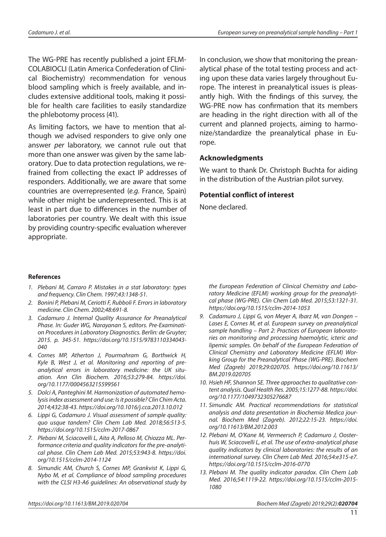The WG-PRE has recently published a joint EFLM-COLABIOCLI (Latin America Confederation of Clinical Biochemistry) recommendation for venous blood sampling which is freely available, and includes extensive additional tools, making it possible for health care facilities to easily standardize the phlebotomy process (41).

As limiting factors, we have to mention that although we advised responders to give only one answer *per* laboratory, we cannot rule out that more than one answer was given by the same laboratory. Due to data protection regulations, we refrained from collecting the exact IP addresses of responders. Additionally, we are aware that some countries are overrepresented (*e.g.* France, Spain) while other might be underrepresented. This is at least in part due to differences in the number of laboratories per country. We dealt with this issue by providing country-specific evaluation wherever appropriate.

**References**

- *1. Plebani M, Carraro P. Mistakes in a stat laboratory: types and frequency. Clin Chem. 1997;43:1348-51.*
- *2. Bonini P, Plebani M, Ceriotti F, Rubboli F. Errors in laboratory medicine. Clin Chem. 2002;48:691-8.*
- *3. Cadamuro J. Internal Quality Assurance for Preanalytical Phase. In: Guder WG, Narayanan S, editors. Pre-Examination Procedures in Laboratory Diagnostics. Berlin: de Gruyter; 2015. p. 345-51. [https://doi.org/10.1515/9783110334043-](https://doi.org/10.1515/9783110334043-040) [040](https://doi.org/10.1515/9783110334043-040)*
- *4. Cornes MP, Atherton J, Pourmahram G, Borthwick H, Kyle B, West J, et al. Monitoring and reporting of preanalytical errors in laboratory medicine: the UK situation. Ann Clin Biochem. 2016;53:279-84. [https://doi.](https://doi.org/10.1177/0004563215599561) [org/10.1177/0004563215599561](https://doi.org/10.1177/0004563215599561)*
- *5. Dolci A, Panteghini M. Harmonization of automated hemolysis index assessment and use: Is it possible? Clin Chim Acta. 2014;432:38-43. <https://doi.org/10.1016/j.cca.2013.10.012>*
- *6. Lippi G, Cadamuro J. Visual assessment of sample quality: quo usque tandem? Clin Chem Lab Med. 2018;56:513-5. <https://doi.org/10.1515/cclm-2017-0867>*
- *7. Plebani M, Sciacovelli L, Aita A, Pelloso M, Chiozza ML. Performance criteria and quality indicators for the pre-analytical phase. Clin Chem Lab Med. 2015;53:943-8. [https://doi.](https://doi.org/10.1515/cclm-2014-1124) [org/10.1515/cclm-2014-1124](https://doi.org/10.1515/cclm-2014-1124)*
- *8. Simundic AM, Church S, Cornes MP, Grankvist K, Lippi G, Nybo M, et al. Compliance of blood sampling procedures with the CLSI H3-A6 guidelines: An observational study by*

In conclusion, we show that monitoring the preanalytical phase of the total testing process and acting upon these data varies largely throughout Europe. The interest in preanalytical issues is pleasantly high. With the findings of this survey, the WG-PRE now has confirmation that its members are heading in the right direction with all of the current and planned projects, aiming to harmonize/standardize the preanalytical phase in Europe.

#### **Acknowledgments**

We want to thank Dr. Christoph Buchta for aiding in the distribution of the Austrian pilot survey.

#### **Potential conflict of interest**

None declared.

*the European Federation of Clinical Chemistry and Laboratory Medicine (EFLM) working group for the preanalytical phase (WG-PRE). Clin Chem Lab Med. 2015;53:1321-31. <https://doi.org/10.1515/cclm-2014-1053>*

- *9. Cadamuro J, Lippi G, von Meyer A, Ibarz M, van Dongen Lases E, Cornes M, et al. European survey on preanalytical sample handling – Part 2: Practices of European laboratories on monitoring and processing haemolytic, icteric and lipemic samples. On behalf of the European Federation of Clinical Chemistry and Laboratory Medicine (EFLM) Working Group for the Preanalytical Phase (WG-PRE). Biochem Med (Zagreb) 2019;29:020705. https://doi.org/10.11613/ BM.2019.020705*
- *10. Hsieh HF, Shannon SE. Three approaches to qualitative content analysis. Qual Health Res. 2005;15:1277-88. [https://doi.](https://doi.org/10.1177/1049732305276687) [org/10.1177/1049732305276687](https://doi.org/10.1177/1049732305276687)*
- *11. Simundic AM. Practical recommendations for statistical analysis and data presentation in Biochemia Medica journal. Biochem Med (Zagreb). 2012;22:15-23. [https://doi.](https://doi.org/10.11613/BM.2012.003) [org/10.11613/BM.2012.003](https://doi.org/10.11613/BM.2012.003)*
- *12. Plebani M, O'Kane M, Vermeersch P, Cadamuro J, Oosterhuis W, Sciacovelli L, et al. The use of extra-analytical phase quality indicators by clinical laboratories: the results of an international survey. Clin Chem Lab Med. 2016;54:e315-e7. <https://doi.org/10.1515/cclm-2016-0770>*
- *13. Plebani M. The quality indicator paradox. Clin Chem Lab Med. 2016;54:1119-22. [https://doi.org/10.1515/cclm-2015-](https://doi.org/10.1515/cclm-2015-1080) [1080](https://doi.org/10.1515/cclm-2015-1080)*